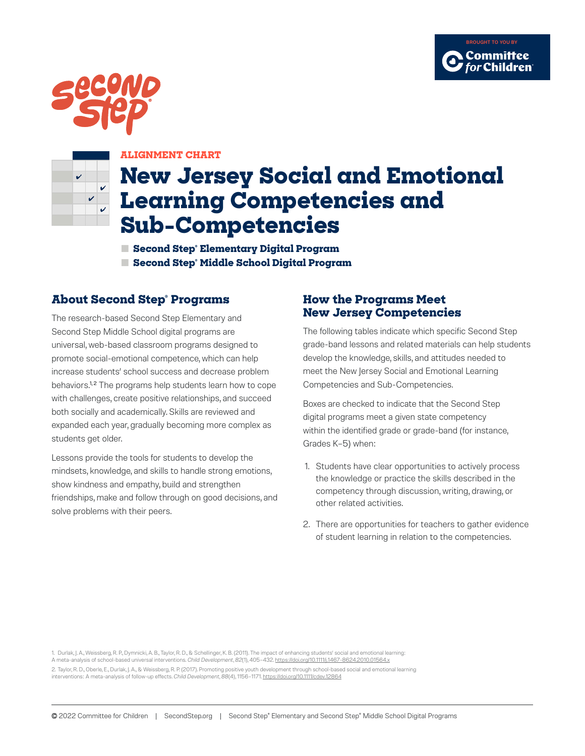





#### **ALIGNMENT CHART**

# **New Jersey Social and Emotional Learning Competencies and Sub-Competencies**

**■ Second Step® Elementary Digital Program ■ Second Step® Middle School Digital Program**

### **About Second Step® Programs**

The research-based Second Step Elementary and Second Step Middle School digital programs are universal, web-based classroom programs designed to promote social-emotional competence, which can help increase students' school success and decrease problem behaviors.<sup>1,2</sup> The programs help students learn how to cope with challenges, create positive relationships, and succeed both socially and academically. Skills are reviewed and expanded each year, gradually becoming more complex as students get older.

Lessons provide the tools for students to develop the mindsets, knowledge, and skills to handle strong emotions, show kindness and empathy, build and strengthen friendships, make and follow through on good decisions, and solve problems with their peers.

#### **How the Programs Meet New Jersey Competencies**

The following tables indicate which specific Second Step grade-band lessons and related materials can help students develop the knowledge, skills, and attitudes needed to meet the New Jersey Social and Emotional Learning Competencies and Sub-Competencies.

Boxes are checked to indicate that the Second Step digital programs meet a given state competency within the identified grade or grade-band (for instance, Grades K–5) when:

- 1. Students have clear opportunities to actively process the knowledge or practice the skills described in the competency through discussion, writing, drawing, or other related activities.
- 2. There are opportunities for teachers to gather evidence of student learning in relation to the competencies.

1. Durlak, J. A., Weissberg, R. P., Dymnicki, A. B., Taylor, R. D., & Schellinger, K. B. (2011). The impact of enhancing students' social and emotional learning: A meta-analysis of school-based universal interventions. *Child Development*, *82*(1), 405–432.<https://doi.org/10.1111/j.1467-8624.2010.01564.x> 2. Taylor, R. D., Oberle, E., Durlak, J. A., & Weissberg, R. P. (2017). Promoting positive youth development through school-based social and emotional learning interventions: A meta-analysis of follow-up effects. *Child Development*, *88*(4), 1156–1171.<https://doi.org/10.1111/cdev.12864>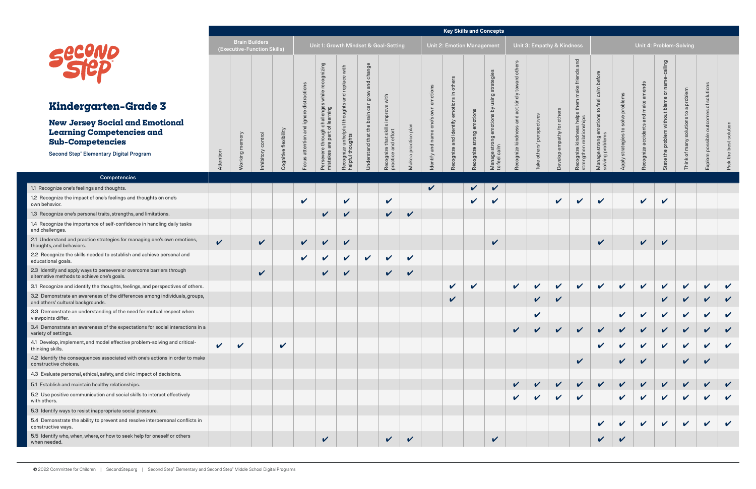|                                                                                                                      |              |                                                      |              |                            |                                             |                                                             |                                                              |                               |                                              |                 |                                   | <b>Key Skills and Concepts</b>    |                            |                                 |                                                       |                            |                         |                                                                 |                                |                            |                                          |                            |                            |                            |               |
|----------------------------------------------------------------------------------------------------------------------|--------------|------------------------------------------------------|--------------|----------------------------|---------------------------------------------|-------------------------------------------------------------|--------------------------------------------------------------|-------------------------------|----------------------------------------------|-----------------|-----------------------------------|-----------------------------------|----------------------------|---------------------------------|-------------------------------------------------------|----------------------------|-------------------------|-----------------------------------------------------------------|--------------------------------|----------------------------|------------------------------------------|----------------------------|----------------------------|----------------------------|---------------|
|                                                                                                                      |              | <b>Brain Builders</b><br>(Executive-Function Skills) |              |                            |                                             |                                                             |                                                              |                               | Unit 1: Growth Mindset & Goal-Setting        |                 |                                   | <b>Unit 2: Emotion Management</b> |                            |                                 |                                                       | Unit 3: Empathy & Kindness |                         |                                                                 |                                |                            | Unit 4: Problem-Solving                  |                            |                            |                            |               |
|                                                                                                                      |              |                                                      |              |                            | ctions                                      | gui<br>ōo                                                   | with                                                         | and change<br>grow            |                                              |                 |                                   | in others                         |                            | strategie<br>$\sigma$           | other<br>$\overline{\sigma}$                          |                            |                         | and<br>make friends                                             | before<br>calm                 |                            | ಕೆ                                       |                            |                            | solutions                  |               |
| <b>Kindergarten-Grade 3</b>                                                                                          |              |                                                      |              |                            | distra                                      |                                                             |                                                              |                               | with                                         |                 |                                   | motion                            |                            | $\gtrsim$                       | ct kindly<br>$\bar{\sigma}$                           |                            |                         |                                                                 | feel<br>$\overline{c}$         | solve problems             | ᡕᠣ<br>make                               |                            | a problem<br>$\mathsf{c}$  |                            |               |
| <b>New Jersey Social and Emotional</b><br><b>Learning Competencies and</b><br><b>Sub-Competencies</b>                |              |                                                      | control      | Cognitive flexibility      | $\bar{\mathsf{p}}$<br><b>D</b><br>attention | hallenge:<br>learning<br>$rac{1}{\sigma}$<br>효 들<br>are par | Recognize unhelpful thoughts and replace<br>helpful thoughts | Understand that the brain can | Recognize that skills<br>practice and effort | a practice plan | ဖ<br>one <sup>'</sup><br>and name | Recognize and identify            | emotions<br>buo<br>str     | ${\bf \Omega}$<br>otion         | and<br>$\overline{\text{}}\text{S}$<br>cognize kindne | Take others' perspectives  | other<br>for<br>empathy | help<br>hips<br>SS<br>kindne<br>.⊇<br>relati<br>$\hfill\square$ | otions<br>e strong<br>problem: | strategies to              | $\overline{\sigma}$<br>cider<br>ō<br>ize | m without blame<br>probler | solutions                  | e outcom                   | solution      |
| <b>Second Step® Elementary Digital Program</b>                                                                       | Attention    | king                                                 | nhibitory    |                            | $\omega$                                    | vere<br>istakes                                             |                                                              |                               | 효                                            | Make            | dentify                           |                                   | cognize                    | Manage strong e<br>to feel calm |                                                       |                            | dop                     | Recognize I<br>strengthen                                       | Manage:<br>solving p           | Apply                      | ingo                                     | State the                  | $\rm ^{+}$<br>Think        | Explore po:                | Pick the best |
| <b>Competencies</b>                                                                                                  |              |                                                      |              |                            |                                             |                                                             |                                                              |                               |                                              |                 |                                   |                                   |                            |                                 |                                                       |                            |                         |                                                                 |                                |                            |                                          |                            |                            |                            |               |
| 1.1 Recognize one's feelings and thoughts.                                                                           |              |                                                      |              |                            |                                             |                                                             |                                                              |                               |                                              |                 | $\checkmark$                      |                                   | $\sqrt{ }$                 | $\checkmark$                    |                                                       |                            |                         |                                                                 |                                |                            |                                          |                            |                            |                            |               |
| 1.2 Recognize the impact of one's feelings and thoughts on one's<br>own behavior.                                    |              |                                                      |              |                            | $\mathbf v$                                 |                                                             | $\checkmark$                                                 |                               | $\checkmark$                                 |                 |                                   |                                   | $\boldsymbol{\mathcal{U}}$ | $\boldsymbol{\nu}$              |                                                       |                            | $\mathbf v$             | V                                                               | $\checkmark$                   |                            | $\checkmark$                             | $\boldsymbol{\nu}$         |                            |                            |               |
| 1.3 Recognize one's personal traits, strengths, and limitations.                                                     |              |                                                      |              |                            |                                             | $\checkmark$                                                | $\checkmark$                                                 |                               | $\checkmark$                                 | $\checkmark$    |                                   |                                   |                            |                                 |                                                       |                            |                         |                                                                 |                                |                            |                                          |                            |                            |                            |               |
| 1.4 Recognize the importance of self-confidence in handling daily tasks<br>and challenges.                           |              |                                                      |              |                            |                                             |                                                             |                                                              |                               |                                              |                 |                                   |                                   |                            |                                 |                                                       |                            |                         |                                                                 |                                |                            |                                          |                            |                            |                            |               |
| 2.1 Understand and practice strategies for managing one's own emotions,<br>thoughts, and behaviors.                  | $\mathbf{v}$ |                                                      | $\checkmark$ |                            | $\mathbf{v}$                                | $\checkmark$                                                | $\checkmark$                                                 |                               |                                              |                 |                                   |                                   |                            | $\checkmark$                    |                                                       |                            |                         |                                                                 | $\checkmark$                   |                            | $\sqrt{2}$                               | $\mathbf{v}$               |                            |                            |               |
| 2.2 Recognize the skills needed to establish and achieve personal and<br>educational goals.                          |              |                                                      |              |                            | $\checkmark$                                | $\checkmark$                                                | $\checkmark$                                                 | $\mathbf v$                   | $\checkmark$                                 | $\checkmark$    |                                   |                                   |                            |                                 |                                                       |                            |                         |                                                                 |                                |                            |                                          |                            |                            |                            |               |
| 2.3 Identify and apply ways to persevere or overcome barriers through<br>alternative methods to achieve one's goals. |              |                                                      | $\checkmark$ |                            |                                             | $\checkmark$                                                | $\checkmark$                                                 |                               | $\checkmark$                                 | V               |                                   |                                   |                            |                                 |                                                       |                            |                         |                                                                 |                                |                            |                                          |                            |                            |                            |               |
| 3.1 Recognize and identify the thoughts, feelings, and perspectives of others.                                       |              |                                                      |              |                            |                                             |                                                             |                                                              |                               |                                              |                 |                                   | $\checkmark$                      | $\boldsymbol{\mathcal{U}}$ |                                 | $\checkmark$                                          | $\checkmark$               | $\checkmark$            | $\checkmark$                                                    | $\mathbf v$                    | $\mathbf v$                | $\mathbf v$                              | $\checkmark$               | $\checkmark$               | $\checkmark$               | $\checkmark$  |
| 3.2 Demonstrate an awareness of the differences among individuals, groups,<br>and others' cultural backgrounds.      |              |                                                      |              |                            |                                             |                                                             |                                                              |                               |                                              |                 |                                   | V                                 |                            |                                 |                                                       | V                          |                         |                                                                 |                                |                            |                                          |                            | $\boldsymbol{\mathcal{U}}$ | $\boldsymbol{\nu}$         | $\checkmark$  |
| 3.3 Demonstrate an understanding of the need for mutual respect when<br>viewpoints differ.                           |              |                                                      |              |                            |                                             |                                                             |                                                              |                               |                                              |                 |                                   |                                   |                            |                                 |                                                       | V                          |                         |                                                                 |                                | $\boldsymbol{\mathcal{U}}$ |                                          |                            |                            |                            |               |
| 3.4 Demonstrate an awareness of the expectations for social interactions in a<br>variety of settings.                |              |                                                      |              |                            |                                             |                                                             |                                                              |                               |                                              |                 |                                   |                                   |                            |                                 | $\checkmark$                                          | $\checkmark$               | $\checkmark$            | $\checkmark$                                                    | $\checkmark$                   | $\checkmark$               | $\checkmark$                             |                            | $\checkmark$               |                            |               |
| 4.1 Develop, implement, and model effective problem-solving and critical-<br>thinking skills.                        | V            | $\checkmark$                                         |              | $\boldsymbol{\mathcal{U}}$ |                                             |                                                             |                                                              |                               |                                              |                 |                                   |                                   |                            |                                 |                                                       |                            |                         |                                                                 |                                | $\boldsymbol{\mathcal{U}}$ | $\boldsymbol{\mathcal{U}}$               | $\checkmark$               | $\checkmark$               | V                          |               |
| 4.2 Identify the consequences associated with one's actions in order to make<br>constructive choices.                |              |                                                      |              |                            |                                             |                                                             |                                                              |                               |                                              |                 |                                   |                                   |                            |                                 |                                                       |                            |                         | V                                                               |                                | V                          | $\checkmark$                             |                            |                            |                            |               |
| 4.3 Evaluate personal, ethical, safety, and civic impact of decisions.                                               |              |                                                      |              |                            |                                             |                                                             |                                                              |                               |                                              |                 |                                   |                                   |                            |                                 |                                                       |                            |                         |                                                                 |                                |                            |                                          |                            |                            |                            |               |
| 5.1 Establish and maintain healthy relationships.                                                                    |              |                                                      |              |                            |                                             |                                                             |                                                              |                               |                                              |                 |                                   |                                   |                            |                                 |                                                       |                            |                         | V                                                               | $\checkmark$                   | $\boldsymbol{\mathcal{U}}$ |                                          |                            | $\mathbf{v}$               |                            |               |
| 5.2 Use positive communication and social skills to interact effectively<br>with others.                             |              |                                                      |              |                            |                                             |                                                             |                                                              |                               |                                              |                 |                                   |                                   |                            |                                 |                                                       | V                          | V                       | $\checkmark$                                                    |                                | $\checkmark$               |                                          |                            | V                          |                            |               |
| 5.3 Identify ways to resist inappropriate social pressure.                                                           |              |                                                      |              |                            |                                             |                                                             |                                                              |                               |                                              |                 |                                   |                                   |                            |                                 |                                                       |                            |                         |                                                                 |                                |                            |                                          |                            |                            |                            |               |
| 5.4 Demonstrate the ability to prevent and resolve interpersonal conflicts in<br>constructive ways.                  |              |                                                      |              |                            |                                             |                                                             |                                                              |                               |                                              |                 |                                   |                                   |                            |                                 |                                                       |                            |                         |                                                                 |                                |                            | $\checkmark$                             | $\boldsymbol{\mathcal{U}}$ | $\checkmark$               | $\boldsymbol{\mathcal{U}}$ |               |
| 5.5 Identify who, when, where, or how to seek help for oneself or others<br>when needed.                             |              |                                                      |              |                            |                                             | $\checkmark$                                                |                                                              |                               | $\checkmark$                                 | $\checkmark$    |                                   |                                   |                            | $\checkmark$                    |                                                       |                            |                         |                                                                 | V                              | V                          |                                          |                            |                            |                            |               |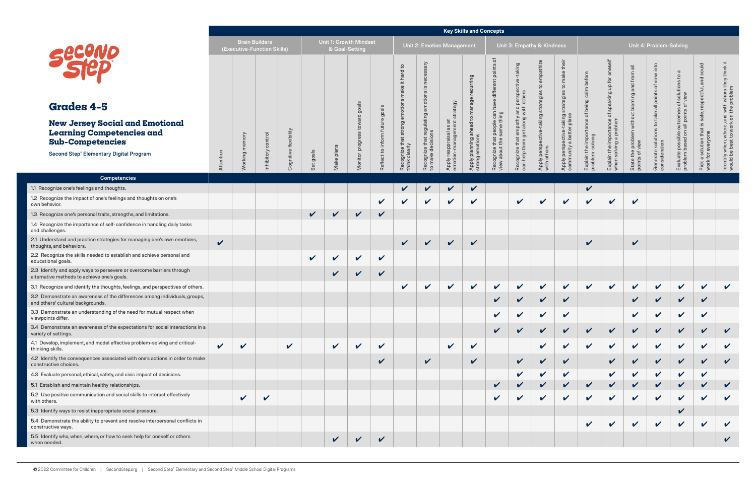|                                                                                                                      |              |                                                      |           |                       |              |                                          |                                             |                            |                                                              |                                                |                                                   | <b>Key Skills and Concepts</b>                 |                                                                                                                                                                                                                                |                                    |                                          |                                                               |                                           |                                      |                                                              |                                             |                                                           |                                                               |                                                                                           |
|----------------------------------------------------------------------------------------------------------------------|--------------|------------------------------------------------------|-----------|-----------------------|--------------|------------------------------------------|---------------------------------------------|----------------------------|--------------------------------------------------------------|------------------------------------------------|---------------------------------------------------|------------------------------------------------|--------------------------------------------------------------------------------------------------------------------------------------------------------------------------------------------------------------------------------|------------------------------------|------------------------------------------|---------------------------------------------------------------|-------------------------------------------|--------------------------------------|--------------------------------------------------------------|---------------------------------------------|-----------------------------------------------------------|---------------------------------------------------------------|-------------------------------------------------------------------------------------------|
|                                                                                                                      |              | <b>Brain Builders</b><br>(Executive-Function Skills) |           |                       |              | Unit 1: Growth Mindset<br>& Goal-Setting |                                             |                            |                                                              |                                                | <b>Unit 2: Emotion Management</b>                 |                                                |                                                                                                                                                                                                                                |                                    | Unit 3: Empathy & Kindness               |                                                               |                                           |                                      |                                                              | Unit 4: Problem-Solving                     |                                                           |                                                               |                                                                                           |
|                                                                                                                      |              |                                                      |           |                       |              |                                          |                                             |                            | $\mathtt{S}$<br>$\overline{\sigma}$<br>$\overline{B}$<br>۲Ŧ. | $\mathbf C$<br>.≌<br>otions                    |                                                   | recurring                                      | ৳<br>its<br>poir<br>different                                                                                                                                                                                                  | taking<br>perspeo<br>others        | mpathize<br>$\circ$<br>$\omega$<br>tegle | their<br>ake<br>Ε<br>$\overline{c}$<br>$\omega$               | before<br>calm                            | oneself<br>of speaking up for        |                                                              | into<br>view<br>đ<br>all points             | $\sigma$<br>s of solutions to a<br>of view                | could<br>and<br>respectful,                                   | ldentify when, where, and with whom they think it<br>would be best to work on the problem |
| <b>Grades 4-5</b>                                                                                                    |              |                                                      |           |                       |              |                                          |                                             | goals                      |                                                              |                                                | strategy                                          | age                                            | have                                                                                                                                                                                                                           | and<br>with                        |                                          |                                                               | being                                     |                                      |                                                              |                                             |                                                           |                                                               |                                                                                           |
| <b>New Jersey Social and Emotional</b><br><b>Learning Competencies and</b><br><b>Sub-Competencies</b>                |              |                                                      | control   | Cognitive flexibility |              | plans                                    | $\overline{\sigma}$<br>tow<br>SS<br>progres | Reflect to inform future   | Recognize that strong<br>think clearly                       | Recognize that regulating<br>to make decisions | as<br>$ \mathbf{e}$<br>reappraisal<br>ion-manager | Apply planning ahead to mar<br>strong emotions | : people can h<br>same thing                                                                                                                                                                                                   | t empathy a<br>get along v<br>that | g<br>Apply perspective<br>with others    | Apply perspective-taking strategi<br>community a better place | $\overline{\sigma}$<br>importance<br>puin | importance c<br>ng a problem         | State the problem without blaming and from<br>points of view | Generate solutions to take<br>consideration | Evaluate possible outcomes<br>problem based on all points | safe,<br>that is<br>Pick a solution that<br>work for everyone |                                                                                           |
| <b>Second Step® Elementary Digital Program</b>                                                                       | Attention    | Working                                              | nhibitory |                       | Set goals    | Make                                     | Monitor                                     |                            |                                                              |                                                | Apply<br>emotio                                   |                                                | Recognize that postering the series of the series of the series of the series of the series of the series of the series of the series of the series of the series of the series of the series of the series of the series of t | Recognize that<br>can help them g  |                                          |                                                               | Explain the in<br>problem-solv            | Explain the impo<br>when solving a p |                                                              |                                             |                                                           |                                                               |                                                                                           |
| <b>Competencies</b>                                                                                                  |              |                                                      |           |                       |              |                                          |                                             |                            |                                                              |                                                |                                                   |                                                |                                                                                                                                                                                                                                |                                    |                                          |                                                               |                                           |                                      |                                                              |                                             |                                                           |                                                               |                                                                                           |
| 1.1 Recognize one's feelings and thoughts.                                                                           |              |                                                      |           |                       |              |                                          |                                             |                            | V                                                            | ✔                                              | V                                                 | $\boldsymbol{\mathcal{U}}$                     |                                                                                                                                                                                                                                |                                    |                                          |                                                               | ✓                                         |                                      |                                                              |                                             |                                                           |                                                               |                                                                                           |
| 1.2 Recognize the impact of one's feelings and thoughts on one's<br>own behavior.                                    |              |                                                      |           |                       |              |                                          |                                             | $\checkmark$               | $\boldsymbol{\nu}$                                           | $\boldsymbol{\nu}$                             | $\checkmark$                                      | $\boldsymbol{\mathcal{U}}$                     |                                                                                                                                                                                                                                | $\checkmark$                       | $\checkmark$                             | $\checkmark$                                                  | $\boldsymbol{\mathcal{U}}$                | $\checkmark$                         | $\checkmark$                                                 |                                             |                                                           |                                                               |                                                                                           |
| 1.3 Recognize one's personal traits, strengths, and limitations.                                                     |              |                                                      |           |                       | $\checkmark$ | $\checkmark$                             | $\checkmark$                                | $\checkmark$               |                                                              |                                                |                                                   |                                                |                                                                                                                                                                                                                                |                                    |                                          |                                                               |                                           |                                      |                                                              |                                             |                                                           |                                                               |                                                                                           |
| 1.4 Recognize the importance of self-confidence in handling daily tasks<br>and challenges.                           |              |                                                      |           |                       |              |                                          |                                             |                            |                                                              |                                                |                                                   |                                                |                                                                                                                                                                                                                                |                                    |                                          |                                                               |                                           |                                      |                                                              |                                             |                                                           |                                                               |                                                                                           |
| 2.1 Understand and practice strategies for managing one's own emotions,<br>thoughts, and behaviors.                  | $\checkmark$ |                                                      |           |                       |              |                                          |                                             |                            | $\checkmark$                                                 | $\mathbf{v}$                                   | $\checkmark$                                      | $\checkmark$                                   |                                                                                                                                                                                                                                |                                    |                                          |                                                               | $\checkmark$                              |                                      | V                                                            |                                             |                                                           |                                                               |                                                                                           |
| 2.2 Recognize the skills needed to establish and achieve personal and<br>educational goals.                          |              |                                                      |           |                       | $\mathbf v$  | $\mathbf v$                              | $\checkmark$                                | $\mathbf v$                |                                                              |                                                |                                                   |                                                |                                                                                                                                                                                                                                |                                    |                                          |                                                               |                                           |                                      |                                                              |                                             |                                                           |                                                               |                                                                                           |
| 2.3 Identify and apply ways to persevere or overcome barriers through<br>alternative methods to achieve one's goals. |              |                                                      |           |                       |              | $\checkmark$                             | $\checkmark$                                | $\checkmark$               |                                                              |                                                |                                                   |                                                |                                                                                                                                                                                                                                |                                    |                                          |                                                               |                                           |                                      |                                                              |                                             |                                                           |                                                               |                                                                                           |
| 3.1 Recognize and identify the thoughts, feelings, and perspectives of others.                                       |              |                                                      |           |                       |              |                                          |                                             |                            | $\checkmark$                                                 | $\boldsymbol{\mathcal{U}}$                     | $\checkmark$                                      | $\checkmark$                                   | $\boldsymbol{\mathcal{U}}$                                                                                                                                                                                                     | $\checkmark$                       | $\checkmark$                             | $\mathbf v$                                                   | $\mathbf v$                               | $\checkmark$                         | $\checkmark$                                                 | $\boldsymbol{\mathcal{U}}$                  | $\checkmark$                                              | $\checkmark$                                                  | $\mathbf v$                                                                               |
| 3.2 Demonstrate an awareness of the differences among individuals, groups,<br>and others' cultural backgrounds.      |              |                                                      |           |                       |              |                                          |                                             |                            |                                                              |                                                |                                                   |                                                | V                                                                                                                                                                                                                              |                                    | $\checkmark$                             | V                                                             |                                           |                                      | V                                                            | $\checkmark$                                | V                                                         | V                                                             |                                                                                           |
| 3.3 Demonstrate an understanding of the need for mutual respect when<br>viewpoints differ.                           |              |                                                      |           |                       |              |                                          |                                             |                            |                                                              |                                                |                                                   |                                                | $\checkmark$                                                                                                                                                                                                                   | V                                  | $\checkmark$                             | $\boldsymbol{\mathcal{U}}$                                    |                                           |                                      | V                                                            | V                                           | V                                                         | V                                                             |                                                                                           |
| 3.4 Demonstrate an awareness of the expectations for social interactions in a<br>variety of settings.                |              |                                                      |           |                       |              |                                          |                                             |                            |                                                              |                                                |                                                   |                                                | $\checkmark$                                                                                                                                                                                                                   | $\checkmark$                       | $\checkmark$                             | $\checkmark$                                                  | $\checkmark$                              | $\boldsymbol{\mathcal{U}}$           | V                                                            | $\checkmark$                                | $\checkmark$                                              | V                                                             | $\checkmark$                                                                              |
| 4.1 Develop, implement, and model effective problem-solving and critical-<br>thinking skills.                        | V            | $\checkmark$                                         |           | $\checkmark$          |              | $\checkmark$                             | $\checkmark$                                | V                          |                                                              |                                                | $\checkmark$                                      | V                                              |                                                                                                                                                                                                                                |                                    | V                                        | V                                                             | $\boldsymbol{\mathcal{U}}$                | $\checkmark$                         | V                                                            | $\checkmark$                                | $\boldsymbol{\mathcal{U}}$                                | $\checkmark$                                                  | $\checkmark$                                                                              |
| 4.2 Identify the consequences associated with one's actions in order to make<br>constructive choices.                |              |                                                      |           |                       |              |                                          |                                             | V                          |                                                              | $\mathbf v$                                    |                                                   | $\checkmark$                                   |                                                                                                                                                                                                                                | $\checkmark$                       | $\checkmark$                             | V                                                             |                                           |                                      |                                                              | V                                           | $\checkmark$                                              | V                                                             | V                                                                                         |
| 4.3 Evaluate personal, ethical, safety, and civic impact of decisions.                                               |              |                                                      |           |                       |              |                                          |                                             |                            |                                                              |                                                |                                                   |                                                |                                                                                                                                                                                                                                | V                                  | $\mathbf v$                              | $\checkmark$                                                  |                                           | V                                    |                                                              | $\checkmark$                                | $\checkmark$                                              | $\checkmark$                                                  |                                                                                           |
| 5.1 Establish and maintain healthy relationships.                                                                    |              |                                                      |           |                       |              |                                          |                                             |                            |                                                              |                                                |                                                   |                                                | V                                                                                                                                                                                                                              |                                    |                                          | V                                                             |                                           |                                      |                                                              | V                                           |                                                           | V                                                             |                                                                                           |
| 5.2 Use positive communication and social skills to interact effectively<br>with others.                             |              | $\mathbf v$                                          |           |                       |              |                                          |                                             |                            |                                                              |                                                |                                                   |                                                | V                                                                                                                                                                                                                              | V                                  | V                                        | V                                                             |                                           | V                                    |                                                              | $\checkmark$                                | $\checkmark$                                              | V                                                             |                                                                                           |
| 5.3 Identify ways to resist inappropriate social pressure.                                                           |              |                                                      |           |                       |              |                                          |                                             |                            |                                                              |                                                |                                                   |                                                |                                                                                                                                                                                                                                |                                    |                                          |                                                               |                                           |                                      |                                                              |                                             | $\checkmark$                                              |                                                               |                                                                                           |
| 5.4 Demonstrate the ability to prevent and resolve interpersonal conflicts in<br>constructive ways.                  |              |                                                      |           |                       |              |                                          |                                             |                            |                                                              |                                                |                                                   |                                                |                                                                                                                                                                                                                                |                                    |                                          |                                                               |                                           | V                                    | V                                                            | $\checkmark$                                | $\checkmark$                                              | $\checkmark$                                                  | $\boldsymbol{\mathcal{U}}$                                                                |
| 5.5 Identify who, when, where, or how to seek help for oneself or others<br>when needed.                             |              |                                                      |           |                       |              | $\checkmark$                             | $\checkmark$                                | $\boldsymbol{\mathcal{U}}$ |                                                              |                                                |                                                   |                                                |                                                                                                                                                                                                                                |                                    |                                          |                                                               |                                           |                                      |                                                              |                                             |                                                           |                                                               | $\checkmark$                                                                              |